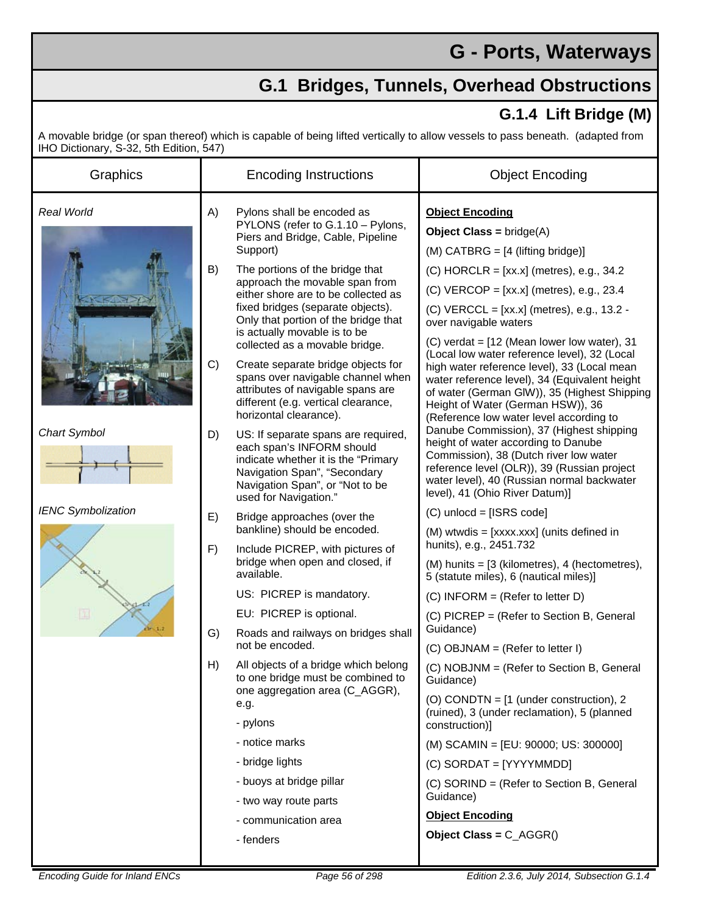## **G - Ports, Waterways**

## **G.1 Bridges, Tunnels, Overhead Obstructions**

## **G.1.4 Lift Bridge (M)**

A movable bridge (or span thereof) which is capable of being lifted vertically to allow vessels to pass beneath. (adapted from IHO Dictionary, S-32, 5th Edition, 547)

| Graphics                                          | <b>Encoding Instructions</b> |                                                                                                                                                                                                                                                                                                                                                                             | <b>Object Encoding</b>                                                                                                                                                                                                                                                                                                                                                                                                                                                                                                                   |
|---------------------------------------------------|------------------------------|-----------------------------------------------------------------------------------------------------------------------------------------------------------------------------------------------------------------------------------------------------------------------------------------------------------------------------------------------------------------------------|------------------------------------------------------------------------------------------------------------------------------------------------------------------------------------------------------------------------------------------------------------------------------------------------------------------------------------------------------------------------------------------------------------------------------------------------------------------------------------------------------------------------------------------|
| Real World<br>Chart Symbol                        | A)<br>B)                     | Pylons shall be encoded as<br>PYLONS (refer to G.1.10 - Pylons,<br>Piers and Bridge, Cable, Pipeline<br>Support)<br>The portions of the bridge that<br>approach the movable span from<br>either shore are to be collected as<br>fixed bridges (separate objects).<br>Only that portion of the bridge that<br>is actually movable is to be<br>collected as a movable bridge. | <b>Object Encoding</b><br><b>Object Class = bridge(A)</b><br>$(M)$ CATBRG = $[4$ (lifting bridge)]<br>$(C)$ HORCLR = [xx.x] (metres), e.g., 34.2<br>$(C)$ VERCOP = [xx.x] (metres), e.g., 23.4<br>(C) VERCCL = [xx.x] (metres), e.g., 13.2 -<br>over navigable waters<br>$(C)$ verdat = $[12$ (Mean lower low water), 31                                                                                                                                                                                                                 |
|                                                   | C)                           | Create separate bridge objects for<br>spans over navigable channel when<br>attributes of navigable spans are<br>different (e.g. vertical clearance,<br>horizontal clearance).                                                                                                                                                                                               | (Local low water reference level), 32 (Local<br>high water reference level), 33 (Local mean<br>water reference level), 34 (Equivalent height<br>of water (German GIW)), 35 (Highest Shipping<br>Height of Water (German HSW)), 36<br>(Reference low water level according to<br>Danube Commission), 37 (Highest shipping<br>height of water according to Danube<br>Commission), 38 (Dutch river low water<br>reference level (OLR)), 39 (Russian project<br>water level), 40 (Russian normal backwater<br>level), 41 (Ohio River Datum)] |
|                                                   | D)                           | US: If separate spans are required,<br>each span's INFORM should<br>indicate whether it is the "Primary<br>Navigation Span", "Secondary<br>Navigation Span", or "Not to be<br>used for Navigation."                                                                                                                                                                         |                                                                                                                                                                                                                                                                                                                                                                                                                                                                                                                                          |
| <b>IENC Symbolization</b><br>E)<br>F)<br>G)<br>H) |                              | Bridge approaches (over the<br>bankline) should be encoded.<br>Include PICREP, with pictures of<br>bridge when open and closed, if<br>available.                                                                                                                                                                                                                            | $(C)$ unlocd = [ISRS code]                                                                                                                                                                                                                                                                                                                                                                                                                                                                                                               |
|                                                   |                              |                                                                                                                                                                                                                                                                                                                                                                             | (M) wtwdis = [xxxx.xxx] (units defined in                                                                                                                                                                                                                                                                                                                                                                                                                                                                                                |
|                                                   |                              |                                                                                                                                                                                                                                                                                                                                                                             | hunits), e.g., 2451.732<br>$(M)$ hunits = $[3$ (kilometres), 4 (hectometres),<br>5 (statute miles), 6 (nautical miles)]                                                                                                                                                                                                                                                                                                                                                                                                                  |
|                                                   |                              | US: PICREP is mandatory.                                                                                                                                                                                                                                                                                                                                                    | (C) INFORM = (Refer to letter D)                                                                                                                                                                                                                                                                                                                                                                                                                                                                                                         |
|                                                   |                              | EU: PICREP is optional.                                                                                                                                                                                                                                                                                                                                                     | (C) PICREP = (Refer to Section B, General                                                                                                                                                                                                                                                                                                                                                                                                                                                                                                |
|                                                   |                              | Roads and railways on bridges shall<br>not be encoded.                                                                                                                                                                                                                                                                                                                      | Guidance)<br>$(C)$ OBJNAM = (Refer to letter I)                                                                                                                                                                                                                                                                                                                                                                                                                                                                                          |
|                                                   |                              | All objects of a bridge which belong<br>to one bridge must be combined to<br>one aggregation area (C_AGGR),<br>e.g.                                                                                                                                                                                                                                                         | (C) NOBJNM = (Refer to Section B, General<br>Guidance)                                                                                                                                                                                                                                                                                                                                                                                                                                                                                   |
|                                                   |                              |                                                                                                                                                                                                                                                                                                                                                                             | (O) CONDTN = $[1$ (under construction), 2<br>(ruined), 3 (under reclamation), 5 (planned<br>construction)]                                                                                                                                                                                                                                                                                                                                                                                                                               |
|                                                   |                              | - pylons                                                                                                                                                                                                                                                                                                                                                                    |                                                                                                                                                                                                                                                                                                                                                                                                                                                                                                                                          |
|                                                   |                              | - notice marks                                                                                                                                                                                                                                                                                                                                                              | (M) SCAMIN = [EU: 90000; US: 300000]                                                                                                                                                                                                                                                                                                                                                                                                                                                                                                     |
|                                                   |                              | - bridge lights                                                                                                                                                                                                                                                                                                                                                             | $(C)$ SORDAT = [YYYYMMDD]                                                                                                                                                                                                                                                                                                                                                                                                                                                                                                                |
|                                                   |                              | - buoys at bridge pillar                                                                                                                                                                                                                                                                                                                                                    | (C) SORIND = (Refer to Section B, General                                                                                                                                                                                                                                                                                                                                                                                                                                                                                                |
|                                                   |                              | - two way route parts                                                                                                                                                                                                                                                                                                                                                       | Guidance)                                                                                                                                                                                                                                                                                                                                                                                                                                                                                                                                |
|                                                   |                              | - communication area                                                                                                                                                                                                                                                                                                                                                        | <b>Object Encoding</b>                                                                                                                                                                                                                                                                                                                                                                                                                                                                                                                   |
|                                                   |                              | - fenders                                                                                                                                                                                                                                                                                                                                                                   | Object Class = $C_AGGR()$                                                                                                                                                                                                                                                                                                                                                                                                                                                                                                                |